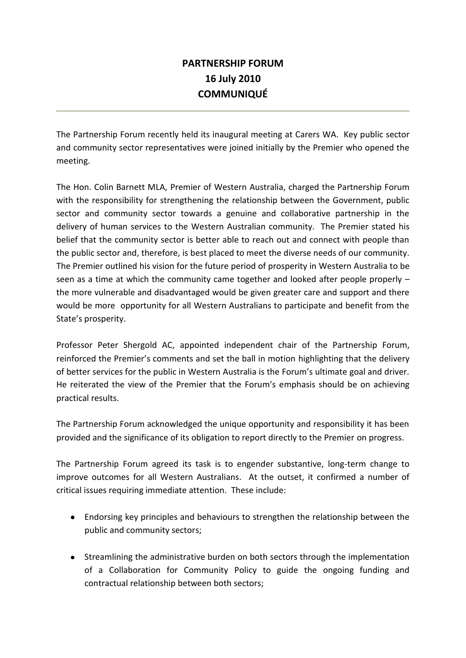# **PARTNERSHIP FORUM 16 July 2010 COMMUNIQUÉ**

The Partnership Forum recently held its inaugural meeting at Carers WA. Key public sector and community sector representatives were joined initially by the Premier who opened the meeting.

The Hon. Colin Barnett MLA, Premier of Western Australia, charged the Partnership Forum with the responsibility for strengthening the relationship between the Government, public sector and community sector towards a genuine and collaborative partnership in the delivery of human services to the Western Australian community. The Premier stated his belief that the community sector is better able to reach out and connect with people than the public sector and, therefore, is best placed to meet the diverse needs of our community. The Premier outlined his vision for the future period of prosperity in Western Australia to be seen as a time at which the community came together and looked after people properly – the more vulnerable and disadvantaged would be given greater care and support and there would be more opportunity for all Western Australians to participate and benefit from the State's prosperity.

Professor Peter Shergold AC, appointed independent chair of the Partnership Forum, reinforced the Premier's comments and set the ball in motion highlighting that the delivery of better services for the public in Western Australia is the Forum's ultimate goal and driver. He reiterated the view of the Premier that the Forum's emphasis should be on achieving practical results.

The Partnership Forum acknowledged the unique opportunity and responsibility it has been provided and the significance of its obligation to report directly to the Premier on progress.

The Partnership Forum agreed its task is to engender substantive, long-term change to improve outcomes for all Western Australians. At the outset, it confirmed a number of critical issues requiring immediate attention. These include:

- Endorsing key principles and behaviours to strengthen the relationship between the public and community sectors;
- Streamlining the administrative burden on both sectors through the implementation of a Collaboration for Community Policy to guide the ongoing funding and contractual relationship between both sectors;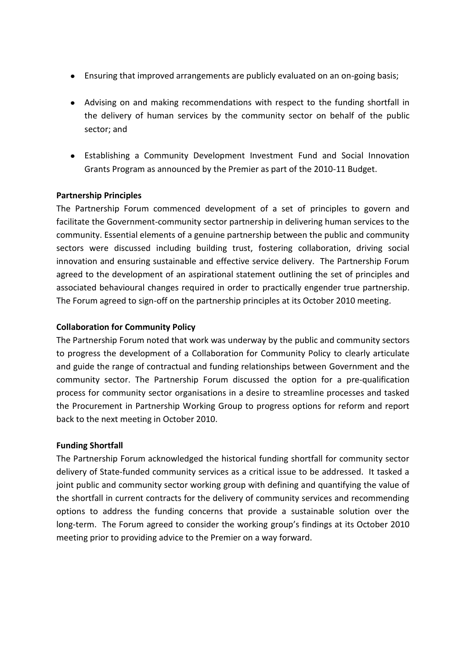- Ensuring that improved arrangements are publicly evaluated on an on-going basis;
- Advising on and making recommendations with respect to the funding shortfall in the delivery of human services by the community sector on behalf of the public sector; and
- Establishing a Community Development Investment Fund and Social Innovation Grants Program as announced by the Premier as part of the 2010-11 Budget.

### **Partnership Principles**

The Partnership Forum commenced development of a set of principles to govern and facilitate the Government-community sector partnership in delivering human services to the community. Essential elements of a genuine partnership between the public and community sectors were discussed including building trust, fostering collaboration, driving social innovation and ensuring sustainable and effective service delivery. The Partnership Forum agreed to the development of an aspirational statement outlining the set of principles and associated behavioural changes required in order to practically engender true partnership. The Forum agreed to sign-off on the partnership principles at its October 2010 meeting.

#### **Collaboration for Community Policy**

The Partnership Forum noted that work was underway by the public and community sectors to progress the development of a Collaboration for Community Policy to clearly articulate and guide the range of contractual and funding relationships between Government and the community sector. The Partnership Forum discussed the option for a pre-qualification process for community sector organisations in a desire to streamline processes and tasked the Procurement in Partnership Working Group to progress options for reform and report back to the next meeting in October 2010.

### **Funding Shortfall**

The Partnership Forum acknowledged the historical funding shortfall for community sector delivery of State-funded community services as a critical issue to be addressed. It tasked a joint public and community sector working group with defining and quantifying the value of the shortfall in current contracts for the delivery of community services and recommending options to address the funding concerns that provide a sustainable solution over the long-term. The Forum agreed to consider the working group's findings at its October 2010 meeting prior to providing advice to the Premier on a way forward.